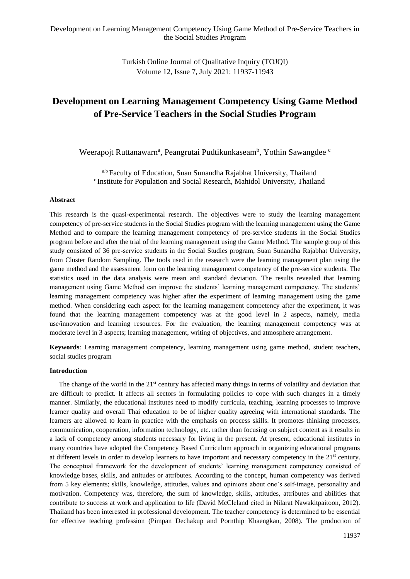Turkish Online Journal of Qualitative Inquiry (TOJQI) Volume 12, Issue 7, July 2021: 11937-11943

# **Development on Learning Management Competency Using Game Method of Pre-Service Teachers in the Social Studies Program**

Weerapojt Ruttanawarn<sup>a</sup>, Peangrutai Pudtikunkaseam<sup>b</sup>, Yothin Sawangdee c

a,b Faculty of Education, Suan Sunandha Rajabhat University, Thailand <sup>c</sup> Institute for Population and Social Research, Mahidol University, Thailand

#### **Abstract**

This research is the quasi-experimental research. The objectives were to study the learning management competency of pre-service students in the Social Studies program with the learning management using the Game Method and to compare the learning management competency of pre-service students in the Social Studies program before and after the trial of the learning management using the Game Method. The sample group of this study consisted of 36 pre-service students in the Social Studies program, Suan Sunandha Rajabhat University, from Cluster Random Sampling. The tools used in the research were the learning management plan using the game method and the assessment form on the learning management competency of the pre-service students. The statistics used in the data analysis were mean and standard deviation. The results revealed that learning management using Game Method can improve the students' learning management competency. The students' learning management competency was higher after the experiment of learning management using the game method. When considering each aspect for the learning management competency after the experiment, it was found that the learning management competency was at the good level in 2 aspects, namely, media use/innovation and learning resources. For the evaluation, the learning management competency was at moderate level in 3 aspects; learning management, writing of objectives, and atmosphere arrangement.

**Keywords**: Learning management competency, learning management using game method, student teachers, social studies program

#### **Introduction**

The change of the world in the  $21<sup>st</sup>$  century has affected many things in terms of volatility and deviation that are difficult to predict. It affects all sectors in formulating policies to cope with such changes in a timely manner. Similarly, the educational institutes need to modify curricula, teaching, learning processes to improve learner quality and overall Thai education to be of higher quality agreeing with international standards. The learners are allowed to learn in practice with the emphasis on process skills. It promotes thinking processes, communication, cooperation, information technology, etc. rather than focusing on subject content as it results in a lack of competency among students necessary for living in the present. At present, educational institutes in many countries have adopted the Competency Based Curriculum approach in organizing educational programs at different levels in order to develop learners to have important and necessary competency in the 21st century. The conceptual framework for the development of students' learning management competency consisted of knowledge bases, skills, and attitudes or attributes. According to the concept, human competency was derived from 5 key elements; skills, knowledge, attitudes, values and opinions about one's self-image, personality and motivation. Competency was, therefore, the sum of knowledge, skills, attitudes, attributes and abilities that contribute to success at work and application to life (David McCleland cited in Nilarat Nawakitpaitoon, 2012). Thailand has been interested in professional development. The teacher competency is determined to be essential for effective teaching profession (Pimpan Dechakup and Pornthip Khaengkan, 2008). The production of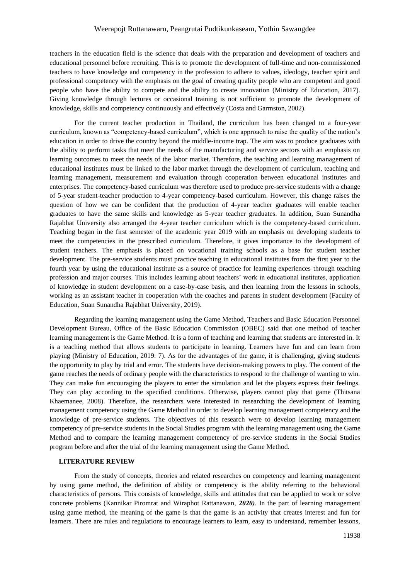## Weerapojt Ruttanawarn, Peangrutai Pudtikunkaseam, Yothin Sawangdee

teachers in the education field is the science that deals with the preparation and development of teachers and educational personnel before recruiting. This is to promote the development of full-time and non-commissioned teachers to have knowledge and competency in the profession to adhere to values, ideology, teacher spirit and professional competency with the emphasis on the goal of creating quality people who are competent and good people who have the ability to compete and the ability to create innovation (Ministry of Education, 2017). Giving knowledge through lectures or occasional training is not sufficient to promote the development of knowledge, skills and competency continuously and effectively (Costa and Garmston, 2002).

For the current teacher production in Thailand, the curriculum has been changed to a four-year curriculum, known as "competency-based curriculum", which is one approach to raise the quality of the nation's education in order to drive the country beyond the middle-income trap. The aim was to produce graduates with the ability to perform tasks that meet the needs of the manufacturing and service sectors with an emphasis on learning outcomes to meet the needs of the labor market. Therefore, the teaching and learning management of educational institutes must be linked to the labor market through the development of curriculum, teaching and learning management, measurement and evaluation through cooperation between educational institutes and enterprises. The competency-based curriculum was therefore used to produce pre-service students with a change of 5-year student-teacher production to 4-year competency-based curriculum. However, this change raises the question of how we can be confident that the production of 4-year teacher graduates will enable teacher graduates to have the same skills and knowledge as 5-year teacher graduates. In addition, Suan Sunandha Rajabhat University also arranged the 4-year teacher curriculum which is the competency-based curriculum. Teaching began in the first semester of the academic year 2019 with an emphasis on developing students to meet the competencies in the prescribed curriculum. Therefore, it gives importance to the development of student teachers. The emphasis is placed on vocational training schools as a base for student teacher development. The pre-service students must practice teaching in educational institutes from the first year to the fourth year by using the educational institute as a source of practice for learning experiences through teaching profession and major courses. This includes learning about teachers' work in educational institutes, application of knowledge in student development on a case-by-case basis, and then learning from the lessons in schools, working as an assistant teacher in cooperation with the coaches and parents in student development (Faculty of Education, Suan Sunandha Rajabhat University, 2019).

Regarding the learning management using the Game Method, Teachers and Basic Education Personnel Development Bureau, Office of the Basic Education Commission (OBEC) said that one method of teacher learning management is the Game Method. It is a form of teaching and learning that students are interested in. It is a teaching method that allows students to participate in learning. Learners have fun and can learn from playing (Ministry of Education, 2019: 7). As for the advantages of the game, it is challenging, giving students the opportunity to play by trial and error. The students have decision-making powers to play. The content of the game reaches the needs of ordinary people with the characteristics to respond to the challenge of wanting to win. They can make fun encouraging the players to enter the simulation and let the players express their feelings. They can play according to the specified conditions. Otherwise, players cannot play that game (Thitsana Khaemanee, 2008). Therefore, the researchers were interested in researching the development of learning management competency using the Game Method in order to develop learning management competency and the knowledge of pre-service students. The objectives of this research were to develop learning management competency of pre-service students in the Social Studies program with the learning management using the Game Method and to compare the learning management competency of pre-service students in the Social Studies program before and after the trial of the learning management using the Game Method.

#### **LITERATURE REVIEW**

From the study of concepts, theories and related researches on competency and learning management by using game method, the definition of ability or competency is the ability referring to the behavioral characteristics of persons. This consists of knowledge, skills and attitudes that can be applied to work or solve concrete problems (Kannikar Piromrat and Wiraphot Rattanawan, *2020)*. In the part of learning management using game method, the meaning of the game is that the game is an activity that creates interest and fun for learners. There are rules and regulations to encourage learners to learn, easy to understand, remember lessons,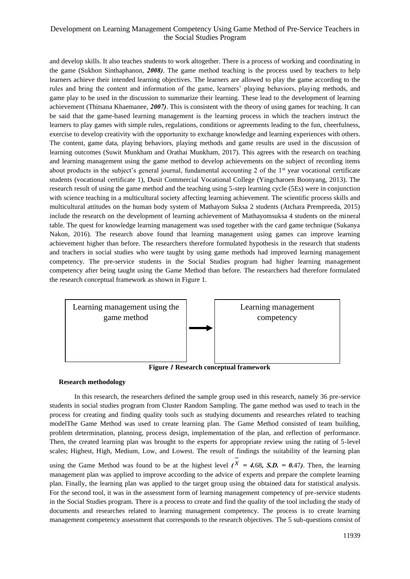# Development on Learning Management Competency Using Game Method of Pre-Service Teachers in the Social Studies Program

and develop skills. It also teaches students to work altogether. There is a process of working and coordinating in the game (Sukhon Sinthaphanon, *2008)*. The game method teaching is the process used by teachers to help learners achieve their intended learning objectives. The learners are allowed to play the game according to the rules and bring the content and information of the game, learners' playing behaviors, playing methods, and game play to be used in the discussion to summarize their learning. These lead to the development of learning achievement (Thitsana Khaemanee, *2007)*. This is consistent with the theory of using games for teaching. It can be said that the game-based learning management is the learning process in which the teachers instruct the learners to play games with simple rules, regulations, conditions or agreements leading to the fun, cheerfulness, exercise to develop creativity with the opportunity to exchange knowledge and learning experiences with others. The content, game data, playing behaviors, playing methods and game results are used in the discussion of learning outcomes (Suwit Munkham and Orathai Munkham, 2017). This agrees with the research on teaching and learning management using the game method to develop achievements on the subject of recording items about products in the subject's general journal, fundamental accounting 2 of the 1<sup>st</sup> year vocational certificate students (vocational certificate 1), Dusit Commercial Vocational College (Yingcharoen Boonyang, 2013). The research result of using the game method and the teaching using 5-step learning cycle (5Es) were in conjunction with science teaching in a multicultural society affecting learning achievement. The scientific process skills and multicultural attitudes on the human body system of Mathayom Suksa 2 students (Atchara Prempreeda, 2015) include the research on the development of learning achievement of Mathayomsuksa 4 students on the mineral table. The quest for knowledge learning management was used together with the card game technique (Sukanya Nakon, 2016). The research above found that learning management using games can improve learning achievement higher than before. The researchers therefore formulated hypothesis in the research that students and teachers in social studies who were taught by using game methods had improved learning management competency. The pre-service students in the Social Studies program had higher learning management competency after being taught using the Game Method than before. The researchers had therefore formulated the research conceptual framework as shown in Figure 1.



**Figure** *1* **Research conceptual framework**

## **Research methodology**

In this research, the researchers defined the sample group used in this research, namely 36 pre-service students in social studies program from Cluster Random Sampling. The game method was used to teach in the process for creating and finding quality tools such as studying documents and researches related to teaching modelThe Game Method was used to create learning plan. The Game Method consisted of team building, problem determination, planning, process design, implementation of the plan, and reflection of performance. Then, the created learning plan was brought to the experts for appropriate review using the rating of 5-level scales; Highest, High, Medium, Low, and Lowest. The result of findings the suitability of the learning plan

using the Game Method was found to be at the highest level  $\ell^X = 4.68$ , S.D. = 0.47). Then, the learning management plan was applied to improve according to the advice of experts and prepare the complete learning plan. Finally, the learning plan was applied to the target group using the obtained data for statistical analysis. For the second tool, it was in the assessment form of learning management competency of pre-service students in the Social Studies program. There is a process to create and find the quality of the tool including the study of documents and researches related to learning management competency. The process is to create learning management competency assessment that corresponds to the research objectives. The 5 sub-questions consist of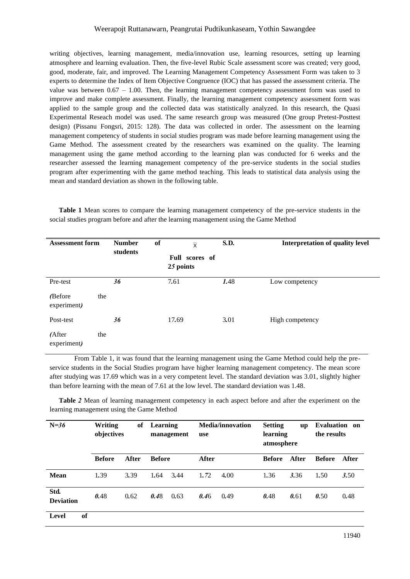# Weerapojt Ruttanawarn, Peangrutai Pudtikunkaseam, Yothin Sawangdee

writing objectives, learning management, media/innovation use, learning resources, setting up learning atmosphere and learning evaluation. Then, the five-level Rubic Scale assessment score was created; very good, good, moderate, fair, and improved. The Learning Management Competency Assessment Form was taken to 3 experts to determine the Index of Item Objective Congruence (IOC) that has passed the assessment criteria. The value was between  $0.67 - 1.00$ . Then, the learning management competency assessment form was used to improve and make complete assessment. Finally, the learning management competency assessment form was applied to the sample group and the collected data was statistically analyzed. In this research, the Quasi Experimental Reseach model was used. The same research group was measured (One group Pretest-Posttest design) (Pissanu Fongsri, 2015: 128). The data was collected in order. The assessment on the learning management competency of students in social studies program was made before learning management using the Game Method. The assessment created by the researchers was examined on the quality. The learning management using the game method according to the learning plan was conducted for 6 weeks and the researcher assessed the learning management competency of the pre-service students in the social studies program after experimenting with the game method teaching. This leads to statistical data analysis using the mean and standard deviation as shown in the following table.

**Table 1** Mean scores to compare the learning management competency of the pre-service students in the social studies program before and after the learning management using the Game Method

| <b>Assessment form</b> |     | of<br><b>Number</b><br>students | $\overline{\mathsf{x}}$<br>Full scores of<br>25 points | <b>S.D.</b> | <b>Interpretation of quality level</b> |  |  |
|------------------------|-----|---------------------------------|--------------------------------------------------------|-------------|----------------------------------------|--|--|
| Pre-test               |     | 36                              | 7.61                                                   | 1.48        | Low competency                         |  |  |
| (Before<br>experiment) | the |                                 |                                                        |             |                                        |  |  |
| Post-test              |     | 36                              | 17.69                                                  | 3.01        | High competency                        |  |  |
| (After<br>experiment)  | the |                                 |                                                        |             |                                        |  |  |

From Table 1, it was found that the learning management using the Game Method could help the preservice students in the Social Studies program have higher learning management competency. The mean score after studying was 17.69 which was in a very competent level. The standard deviation was 3.01, slightly higher than before learning with the mean of 7.61 at the low level. The standard deviation was 1.48.

**Table** *2* Mean of learning management competency in each aspect before and after the experiment on the learning management using the Game Method

| $N=36$                   | Writing<br>of<br>objectives |       | Learning<br>management | <b>Media/innovation</b><br>use | <b>Setting</b><br><b>up</b><br>learning<br>atmosphere |       | <b>Evaluation</b> on<br>the results |       |
|--------------------------|-----------------------------|-------|------------------------|--------------------------------|-------------------------------------------------------|-------|-------------------------------------|-------|
|                          | <b>Before</b>               | After | <b>Before</b>          | After                          | <b>Before</b>                                         | After | <b>Before</b>                       | After |
| <b>Mean</b>              | 1.39                        | 3.39  | 1.64<br>3.44           | 1.72<br>4.00                   | 1.36                                                  | 3.36  | 1.50                                | 3.50  |
| Std.<br><b>Deviation</b> | 0.48                        | 0.62  | 0.48<br>0.63           | 0.49<br>0.46                   | 0.48                                                  | 0.61  | 0.50                                | 0.48  |
| of<br>Level              |                             |       |                        |                                |                                                       |       |                                     |       |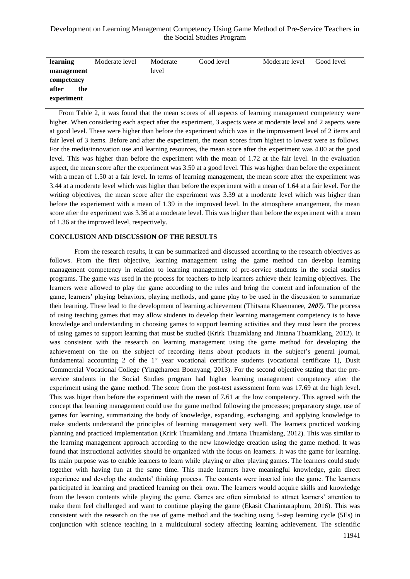# Development on Learning Management Competency Using Game Method of Pre-Service Teachers in the Social Studies Program

| learning     | Moderate level | Moderate | Good level | Moderate level | Good level |
|--------------|----------------|----------|------------|----------------|------------|
| management   |                | level    |            |                |            |
| competency   |                |          |            |                |            |
| after<br>the |                |          |            |                |            |
| experiment   |                |          |            |                |            |

From Table 2, it was found that the mean scores of all aspects of learning management competency were higher. When considering each aspect after the experiment, 3 aspects were at moderate level and 2 aspects were at good level. These were higher than before the experiment which was in the improvement level of 2 items and fair level of 3 items. Before and after the experiment, the mean scores from highest to lowest were as follows. For the media/innovation use and learning resources, the mean score after the experiment was 4.00 at the good level. This was higher than before the experiment with the mean of 1.72 at the fair level. In the evaluation aspect, the mean score after the experiment was 3.50 at a good level. This was higher than before the experiment with a mean of 1.50 at a fair level. In terms of learning management, the mean score after the experiment was 3.44 at a moderate level which was higher than before the experiment with a mean of 1.64 at a fair level. For the writing objectives, the mean score after the experiment was 3.39 at a moderate level which was higher than before the experiement with a mean of 1.39 in the improved level. In the atmosphere arrangement, the mean score after the experiment was 3.36 at a moderate level. This was higher than before the experiment with a mean of 1.36 at the improved level, respectively.

### **CONCLUSION AND DISCUSSION OF THE RESULTS**

From the research results, it can be summarized and discussed according to the research objectives as follows. From the first objective, learning management using the game method can develop learning management competency in relation to learning management of pre-service students in the social studies programs. The game was used in the process for teachers to help learners achieve their learning objectives. The learners were allowed to play the game according to the rules and bring the content and information of the game, learners' playing behaviors, playing methods, and game play to be used in the discussion to summarize their learning. These lead to the development of learning achievement (Thitsana Khaemanee, *2007)*. The process of using teaching games that may allow students to develop their learning management competency is to have knowledge and understanding in choosing games to support learning activities and they must learn the process of using games to support learning that must be studied (Krirk Thuamklang and Jintana Thuamklang, 2012). It was consistent with the research on learning management using the game method for developing the achievement on the on the subject of recording items about products in the subject's general journal, fundamental accounting 2 of the 1<sup>st</sup> year vocational certificate students (vocational certificate 1), Dusit Commercial Vocational College (Yingcharoen Boonyang, 2013). For the second objective stating that the preservice students in the Social Studies program had higher learning management competency after the experiment using the game method. The score from the post-test assessment form was 17*.*69 at the high level. This was higer than before the experiment with the mean of 7*.*61 at the low competency. This agreed with the concept that learning management could use the game method following the processes; preparatory stage, use of games for learning, summarizing the body of knowledge, expanding, exchanging, and applying knowledge to make students understand the principles of learning management very well. The learners practiced working planning and practiced implementation (Krirk Thuamklang and Jintana Thuamklang, 2012). This was similar to the learning management approach according to the new knowledge creation using the game method. It was found that instructional activities should be organized with the focus on learners. It was the game for learning. Its main purpose was to enable learners to learn while playing or after playing games. The learners could study together with having fun at the same time. This made learners have meaningful knowledge, gain direct experience and develop the students' thinking process. The contents were inserted into the game. The learners participated in learning and practiced learning on their own. The learners would acquire skills and knowledge from the lesson contents while playing the game. Games are often simulated to attract learners' attention to make them feel challenged and want to continue playing the game (Ekasit Chanintaraphum, 2016). This was consistent with the research on the use of game method and the teaching using 5-step learning cycle (5Es) in conjunction with science teaching in a multicultural society affecting learning achievement. The scientific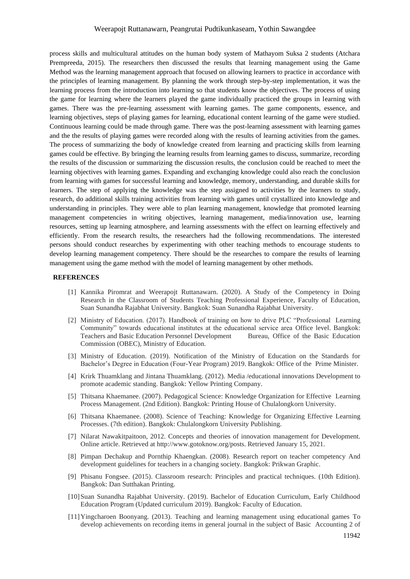## Weerapojt Ruttanawarn, Peangrutai Pudtikunkaseam, Yothin Sawangdee

process skills and multicultural attitudes on the human body system of Mathayom Suksa 2 students (Atchara Prempreeda, 2015). The researchers then discussed the results that learning management using the Game Method was the learning management approach that focused on allowing learners to practice in accordance with the principles of learning management. By planning the work through step-by-step implementation, it was the learning process from the introduction into learning so that students know the objectives. The process of using the game for learning where the learners played the game individually practiced the groups in learning with games. There was the pre-learning assessment with learning games. The game components, essence, and learning objectives, steps of playing games for learning, educational content learning of the game were studied. Continuous learning could be made through game. There was the post-learning assessment with learning games and the the results of playing games were recorded along with the results of learning activities from the games. The process of summarizing the body of knowledge created from learning and practicing skills from learning games could be effective. By bringing the learning results from learning games to discuss, summarize, recording the results of the discussion or summarizing the discussion results, the conclusion could be reached to meet the learning objectives with learning games. Expanding and exchanging knowledge could also reach the conclusion from learning with games for successful learning and knowledge, memory, understanding, and durable skills for learners. The step of applying the knowledge was the step assigned to activities by the learners to study, research, do additional skills training activities from learning with games until crystallized into knowledge and understanding in principles. They were able to plan learning management, knowledge that promoted learning management competencies in writing objectives, learning management, media/innovation use, learning resources, setting up learning atmosphere, and learning assessments with the effect on learning effectively and efficiently. From the research results, the researchers had the following recommendations. The interested persons should conduct researches by experimenting with other teaching methods to encourage students to develop learning management competency. There should be the researches to compare the results of learning management using the game method with the model of learning management by other methods.

#### **REFERENCES**

- [1] Kannika Piromrat and Weerapojt Ruttanawarn. (2020). A Study of the Competency in Doing Research in the Classroom of Students Teaching Professional Experience, Faculty of Education, Suan Sunandha Rajabhat University. Bangkok: Suan Sunandha Rajabhat University.
- [2] Ministry of Education. (2017). Handbook of training on how to drive PLC "Professional Learning Community" towards educational institutes at the educational service area Office level. Bangkok: Teachers and Basic Education Personnel Development Bureau, Office of the Basic Education Commission (OBEC), Ministry of Education.
- [3] Ministry of Education. (2019). Notification of the Ministry of Education on the Standards for Bachelor's Degree in Education (Four-Year Program) 2019. Bangkok: Office of the Prime Minister.
- [4] Krirk Thuamklang and Jintana Thuamklang. (2012). Media /educational innovations Development to promote academic standing. Bangkok: Yellow Printing Company.
- [5] Thitsana Khaemanee. (2007). Pedagogical Science: Knowledge Organization for Effective Learning Process Management. (2nd Edition). Bangkok: Printing House of Chulalongkorn University.
- [6] Thitsana Khaemanee. (2008). Science of Teaching: Knowledge for Organizing Effective Learning Processes. (7th edition). Bangkok: Chulalongkorn University Publishing.
- [7] Nilarat Nawakitpaitoon, 2012. Concepts and theories of innovation management for Development. Online article. Retrieved at http://www.gotoknow.org/posts. Retrieved January 15, 2021.
- [8] Pimpan Dechakup and Pornthip Khaengkan. (2008). Research report on teacher competency And development guidelines for teachers in a changing society. Bangkok: Prikwan Graphic.
- [9] Phisanu Fongsee. (2015). Classroom research: Principles and practical techniques. (10th Edition). Bangkok: Dan Sutthakan Printing.
- [10]Suan Sunandha Rajabhat University. (2019). Bachelor of Education Curriculum, Early Childhood Education Program (Updated curriculum 2019). Bangkok: Faculty of Education.
- [11]Yingcharoen Boonyang. (2013). Teaching and learning management using educational games To develop achievements on recording items in general journal in the subject of Basic Accounting 2 of